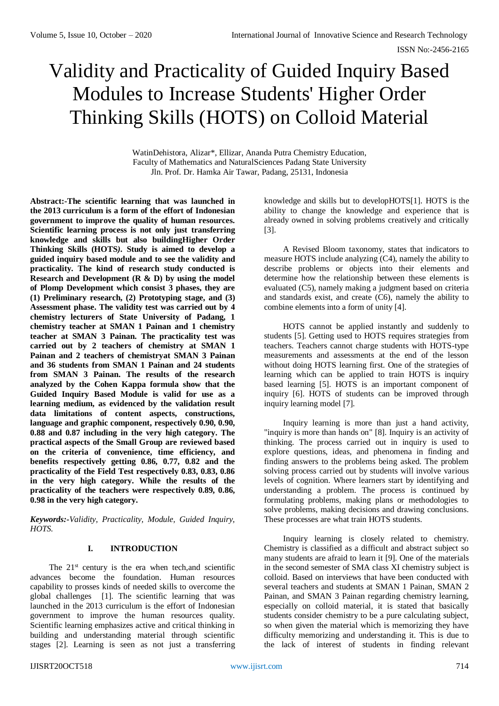# Validity and Practicality of Guided Inquiry Based Modules to Increase Students' Higher Order Thinking Skills (HOTS) on Colloid Material

WatinDehistora, Alizar\*, Ellizar, Ananda Putra Chemistry Education, Faculty of Mathematics and NaturalSciences Padang State University Jln. Prof. Dr. Hamka Air Tawar, Padang, 25131, Indonesia

**Abstract:-The scientific learning that was launched in the 2013 curriculum is a form of the effort of Indonesian government to improve the quality of human resources. Scientific learning process is not only just transferring knowledge and skills but also buildingHigher Order Thinking Skills (HOTS***)***. Study is aimed to develop a guided inquiry based module and to see the validity and practicality. The kind of research study conducted is Research and Development (R & D) by using the model of Plomp Development which consist 3 phases, they are (1) Preliminary research, (2) Prototyping stage, and (3) Assessment phase. The validity test was carried out by 4 chemistry lecturers of State University of Padang, 1 chemistry teacher at SMAN 1 Painan and 1 chemistry teacher at SMAN 3 Painan. The practicality test was carried out by 2 teachers of chemistry at SMAN 1 Painan and 2 teachers of chemistryat SMAN 3 Painan and 36 students from SMAN 1 Painan and 24 students from SMAN 3 Painan. The results of the research analyzed by the Cohen Kappa formula show that the Guided Inquiry Based Module is valid for use as a learning medium, as evidenced by the validation result data limitations of content aspects, constructions, language and graphic component, respectively 0.90, 0.90, 0.88 and 0.87 including in the very high category. The practical aspects of the Small Group are reviewed based on the criteria of convenience, time efficiency, and benefits respectively getting 0.86, 0.77, 0.82 and the practicality of the Field Test respectively 0.83, 0.83, 0.86 in the very high category. While the results of the practicality of the teachers were respectively 0.89, 0.86, 0.98 in the very high category.**

*Keywords:-Validity, Practicality, Module, Guided Inquiry, HOTS.*

# **I. INTRODUCTION**

The  $21<sup>st</sup>$  century is the era when tech, and scientific advances become the foundation. Human resources capability to prosses kinds of needed skills to overcome the global challenges [1]. The scientific learning that was launched in the 2013 curriculum is the effort of Indonesian government to improve the human resources quality. Scientific learning emphasizes active and critical thinking in building and understanding material through scientific stages [2]. Learning is seen as not just a transferring

knowledge and skills but to developHOTS[1]. HOTS is the ability to change the knowledge and experience that is already owned in solving problems creatively and critically [3].

A Revised Bloom taxonomy, states that indicators to measure HOTS include analyzing (C4), namely the ability to describe problems or objects into their elements and determine how the relationship between these elements is evaluated (C5), namely making a judgment based on criteria and standards exist, and create (C6), namely the ability to combine elements into a form of unity [4].

HOTS cannot be applied instantly and suddenly to students [5]. Getting used to HOTS requires strategies from teachers. Teachers cannot charge students with HOTS-type measurements and assessments at the end of the lesson without doing HOTS learning first. One of the strategies of learning which can be applied to train HOTS is inquiry based learning [5]. HOTS is an important component of inquiry [6]. HOTS of students can be improved through inquiry learning model [7].

Inquiry learning is more than just a hand activity, "inquiry is more than hands on" [8]. Inquiry is an activity of thinking. The process carried out in inquiry is used to explore questions, ideas, and phenomena in finding and finding answers to the problems being asked. The problem solving process carried out by students will involve various levels of cognition. Where learners start by identifying and understanding a problem. The process is continued by formulating problems, making plans or methodologies to solve problems, making decisions and drawing conclusions. These processes are what train HOTS students.

Inquiry learning is closely related to chemistry. Chemistry is classified as a difficult and abstract subject so many students are afraid to learn it [9]. One of the materials in the second semester of SMA class XI chemistry subject is colloid. Based on interviews that have been conducted with several teachers and students at SMAN 1 Painan, SMAN 2 Painan, and SMAN 3 Painan regarding chemistry learning, especially on colloid material, it is stated that basically students consider chemistry to be a pure calculating subject, so when given the material which is memorizing they have difficulty memorizing and understanding it. This is due to the lack of interest of students in finding relevant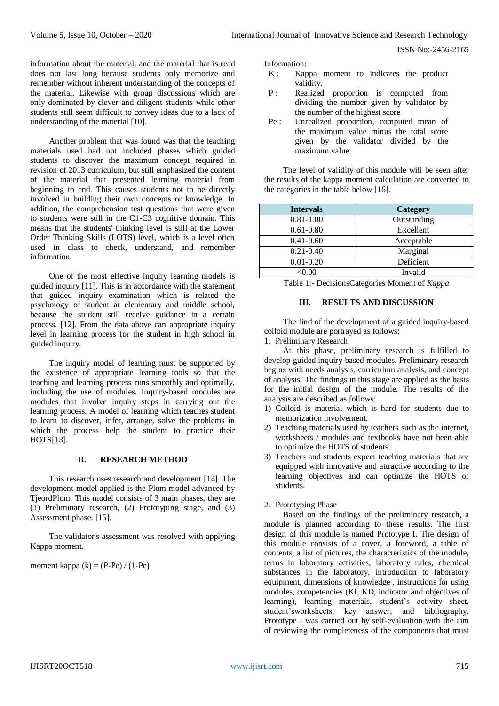information about the material, and the material that is read does not last long because students only memorize and remember without inherent understanding of the concepts of the material. Likewise with group discussions which are only dominated by clever and diligent students while other students still seem difficult to convey ideas due to a lack of understanding of the material [10].

Another problem that was found was that the teaching materials used had not included phases which guided students to discover the maximum concept required in revision of 2013 curriculum, but still emphasized the content of the material that presented learning material from beginning to end. This causes students not to be directly involved in building their own concepts or knowledge. In addition, the comprehension test questions that were given to students were still in the C1-C3 cognitive domain. This means that the students' thinking level is still at the Lower Order Thinking Skills (LOTS) level, which is a level often used in class to check, understand, and remember information.

One of the most effective inquiry learning models is guided inquiry [11]. This is in accordance with the statement that guided inquiry examination which is related the psychology of student at elementary and middle school, because the student still receive guidance in a certain process. [12]. From the data above can appropriate inquiry level in learning process for the student in high school in guided inquiry.

The inquiry model of learning must be supported by the existence of appropriate learning tools so that the teaching and learning process runs smoothly and optimally, including the use of modules. Inquiry-based modules are modules that involve inquiry steps in carrying out the learning process. A model of learning which teaches student to learn to discover, infer, arrange, solve the problems in which the process help the student to practice their HOTS[13].

## **II. RESEARCH METHOD**

This research uses research and development [14]. The development model applied is the Plom model advanced by TjeordPlom. This model consists of 3 main phases, they are (1) Preliminary research, (2) Prototyping stage, and (3) Assessment phase. [15].

The validator's assessment was resolved with applying Kappa moment.

moment kappa  $(k) = (P-Pe)/(1-Pe)$ 

Information:

- K : Kappa moment to indicates the product validity.
- P : Realized proportion is computed from dividing the number given by validator by the number of the highest score
- Pe : Unrealized proportion, computed mean of the maximum value minus the total score given by the validator divided by the maximum value

The level of validity of this module will be seen after the results of the kappa moment calculation are converted to the categories in the table below [16].

| <b>Intervals</b>  | Category    |
|-------------------|-------------|
| $0.81 - 1.00$     | Outstanding |
| $0.61 - 0.80$     | Excellent   |
| $0.41 - 0.60$     | Acceptable  |
| $0.21 - 0.40$     | Marginal    |
| $0.01 - 0.20$     | Deficient   |
| < 0.00            | Invalid     |
| .<br>$\tilde{\ }$ |             |

Table 1:- DecisionsCategories Moment of *Kappa*

# **III. RESULTS AND DISCUSSION**

The find of the development of a guided inquiry-based colloid module are portrayed as follows:

1. Preliminary Research

At this phase, preliminary research is fulfilled to develop guided inquiry-based modules. Preliminary research begins with needs analysis, curriculum analysis, and concept of analysis. The findings in this stage are applied as the basis for the initial design of the module. The results of the analysis are described as follows:

- 1) Colloid is material which is hard for students due to memorization involvement.
- 2) Teaching materials used by teachers such as the internet, worksheets / modules and textbooks have not been able to optimize the HOTS of students.
- 3) Teachers and students expect teaching materials that are equipped with innovative and attractive according to the learning objectives and can optimize the HOTS of students.

# 2. Prototyping Phase

Based on the findings of the preliminary research, a module is planned according to these results. The first design of this module is named Prototype I. The design of this module consists of a cover, a foreword, a table of contents, a list of pictures, the characteristics of the module, terms in laboratory activities, laboratory rules, chemical substances in the laboratory, introduction to laboratory equipment, dimensions of knowledge , instructions for using modules, competencies (KI, KD, indicator and objectives of learning), learning materials, student's activity sheet, student'sworksheets, key answer, and bibliography. Prototype I was carried out by self-evaluation with the aim of reviewing the completeness of the components that must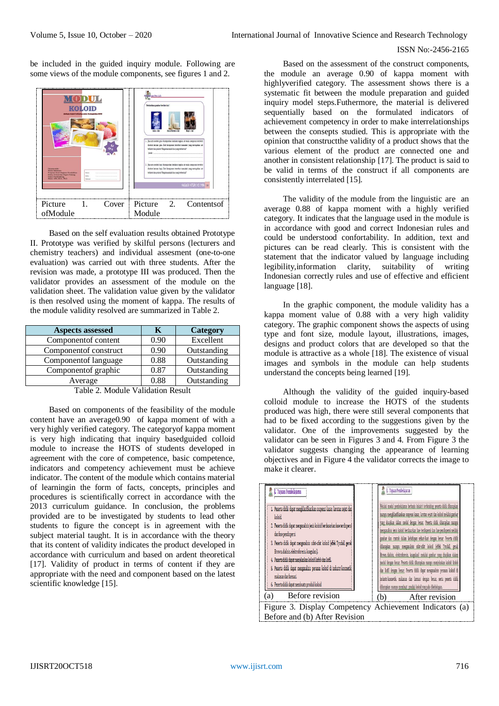be included in the guided inquiry module. Following are some views of the module components, see figures 1 and 2.



Based on the self evaluation results obtained Prototype II. Prototype was verified by skilful persons (lecturers and chemistry teachers) and individual assesment (one-to-one evaluation) was carried out with three students. After the revision was made, a prototype III was produced. Then the validator provides an assessment of the module on the validation sheet. The validation value given by the validator is then resolved using the moment of kappa. The results of the module validity resolved are summarized in Table 2.

| <b>Aspects assessed</b> | ĸ    | Category    |
|-------------------------|------|-------------|
| Component of content    | 0.90 | Excellent   |
| Componentof construct   | 0.90 | Outstanding |
| Component of language   | 0.88 | Outstanding |
| Component of graphic    | 0.87 | Outstanding |
| Average                 | 0.88 | Outstanding |

Table 2. Module Validation Result

Based on components of the feasibility of the module content have an average0.90 of kappa moment of with a very highly verified category. The categoryof kappa moment is very high indicating that inquiry basedguided colloid module to increase the HOTS of students developed in agreement with the core of competence, basic competence, indicators and competency achievement must be achieve indicator. The content of the module which contains material of learningin the form of facts, concepts, principles and procedures is scientifically correct in accordance with the 2013 curriculum guidance. In conclusion, the problems provided are to be investigated by students to lead other students to figure the concept is in agreement with the subject material taught. It is in accordance with the theory that its content of validity indicates the product developed in accordance with curriculum and based on ardent theoretical [17]. Validity of product in terms of content if they are appropriate with the need and component based on the latest scientific knowledge [15].

Based on the assessment of the construct components, the module an average 0.90 of kappa moment with highlyverified category. The assessment shows there is a systematic fit between the module preparation and guided inquiry model steps.Futhermore, the material is delivered sequentially based on the formulated indicators of achievement competency in order to make interrelationships between the consepts studied. This is appropriate with the opinion that constructthe validity of a product shows that the various element of the product are connected one and another in consistent relationship [17]. The product is said to be valid in terms of the construct if all components are consistently interrelated [15].

The validity of the module from the linguistic are an average 0.88 of kappa moment with a highly verified category. It indicates that the language used in the module is in accordance with good and correct Indonesian rules and could be understood confortability. In addition, text and pictures can be read clearly. This is consistent with the statement that the indicator valued by language including legibility,information clarity, suitability of writing Indonesian correctly rules and use of effective and efficient language [18].

In the graphic component, the module validity has a kappa moment value of 0.88 with a very high validity category. The graphic component shows the aspects of using type and font size, module layout, illustrations, images, designs and product colors that are developed so that the module is attractive as a whole [18]. The existence of visual images and symbols in the module can help students understand the concepts being learned [19].

Although the validity of the guided inquiry-based colloid module to increase the HOTS of the students produced was high, there were still several components that had to be fixed according to the suggestions given by the validator. One of the improvements suggested by the validator can be seen in Figures 3 and 4. From Figure 3 the validator suggests changing the appearance of learning objectives and in Figure 4 the validator corrects the image to make it clearer.

| E. Tujuan Pembelajaran                                                                                                                                                                                                                                                                                                                                                                                                                                                                                                                                | <b>E.</b> Tujuan Pembelajaran                                                                                                                                                                                                                                                                                                                                                                                                                                                                                                                                                                                                                                                                                                                                                                                                                                                                |  |
|-------------------------------------------------------------------------------------------------------------------------------------------------------------------------------------------------------------------------------------------------------------------------------------------------------------------------------------------------------------------------------------------------------------------------------------------------------------------------------------------------------------------------------------------------------|----------------------------------------------------------------------------------------------------------------------------------------------------------------------------------------------------------------------------------------------------------------------------------------------------------------------------------------------------------------------------------------------------------------------------------------------------------------------------------------------------------------------------------------------------------------------------------------------------------------------------------------------------------------------------------------------------------------------------------------------------------------------------------------------------------------------------------------------------------------------------------------------|--|
| 1. Peserta didik dapat meneklasifikasikan suspensi kasar, larutan sejati dari<br>koloid.<br>2. Peserta didik dapat menganalisis jenis koloid berdasarkan fase terdispersi<br>dan fase pendispersi<br>3. Peserta didik dapat menganalisis sifat-sifat koloid (effek Tyndall, gerak<br>Brown, dialisis, elektroforesis, koagulasi).<br>4. Peserta didik dapat menjelaskan koloid liofob dan liofil.<br>5. Peserta didik dapat menganalisis peranan koloid di industrikosmetika<br>makanan dan farmasi.<br>6. Peserta didik dapat membuatn produk koloid | Melalui modul pembelajaran berbasis inkuiri terbimbing peserta didik diharapkan<br>mampu mengklasifikasikan suspensi kasar, larutan sejati dan koloid melalui gambar<br>iyang disajikan dalam modul dengan benar. Peserta didik diharapkan mampu<br>menganalisis jenis koloid berdasarkan fase terdispersi dan fase pendispersi melalul<br>gambar dan contoh dalam kehidupan sehari-hari dengan benar. Peserta didik<br>diharapkan mampu menganalisis sifat-sifat koloid (effek Tyndall, gerak<br>Brown, dialisis, elektroforesis, koagulasi) melalui gambar vang disajikan dalam<br>modul dengan benar. Peserta didik diharapkan mampu menjelaskan koloid liofob<br>dan liofil dengan benar. Peserta didik dapat menganalisis peranan koloid di<br>industri kosmetik, makanan dan farmasi dengan benar, serta peserta didik<br>diharapkan mampu membuat produk koloid yang ada dikehidupan. |  |
| Before revision<br>(a)                                                                                                                                                                                                                                                                                                                                                                                                                                                                                                                                | After revision<br>(b)                                                                                                                                                                                                                                                                                                                                                                                                                                                                                                                                                                                                                                                                                                                                                                                                                                                                        |  |
| Figure 3. Display Competency Achievement Indicators (a)                                                                                                                                                                                                                                                                                                                                                                                                                                                                                               |                                                                                                                                                                                                                                                                                                                                                                                                                                                                                                                                                                                                                                                                                                                                                                                                                                                                                              |  |
| Before and (b) After Revision                                                                                                                                                                                                                                                                                                                                                                                                                                                                                                                         |                                                                                                                                                                                                                                                                                                                                                                                                                                                                                                                                                                                                                                                                                                                                                                                                                                                                                              |  |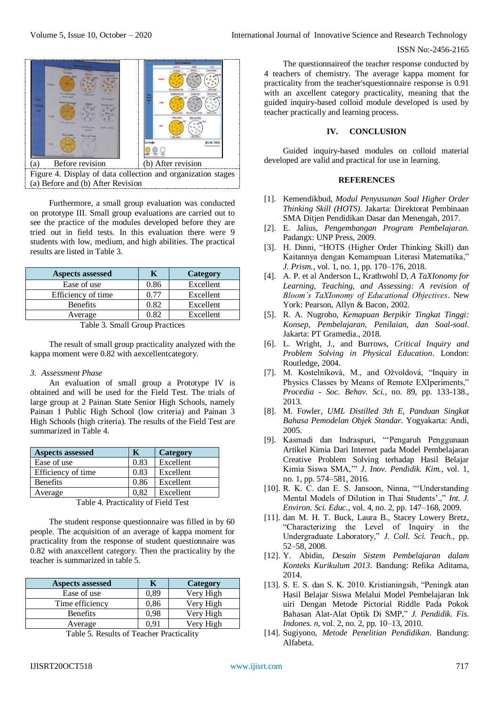

Figure 4. Display of data collection and organization stages (a) Before and (b) After Revision

Furthermore, a small group evaluation was conducted on prototype III. Small group evaluations are carried out to see the practice of the modules developed before they are tried out in field tests. In this evaluation there were 9 students with low, medium, and high abilities. The practical results are listed in Table 3.

| <b>Aspects assessed</b> |      | Category  |
|-------------------------|------|-----------|
| Ease of use             | 0.86 | Excellent |
| Efficiency of time      | 0.77 | Excellent |
| <b>Benefits</b>         | 0.82 | Excellent |
| Average                 | 0.82 | Excellent |
|                         |      |           |

Table 3. Small Group Practices

The result of small group practicality analyzed with the kappa moment were 0.82 with aexcellentcategory.

#### *3. Assessment Phase*

An evaluation of small group a Prototype IV is obtained and will be used for the Field Test. The trials of large group at 2 Painan State Senior High Schools, namely Painan 1 Public High School (low criteria) and Painan 3 High Schools (high criteria). The results of the Field Test are summarized in Table 4.

| <b>Aspects assessed</b>                                               | K    | <b>Category</b> |
|-----------------------------------------------------------------------|------|-----------------|
| Ease of use                                                           | 0.83 | Excellent       |
| Efficiency of time                                                    | 0.83 | Excellent       |
| <b>Benefits</b>                                                       | 0.86 | Excellent       |
| Average                                                               | 0.82 | Excellent       |
| $-$<br>$\blacksquare$<br>-- - -<br>$\alpha$ and $\alpha$ and $\alpha$ |      |                 |

Table 4. Practicality of Field Test

The student response questionnaire was filled in by 60 people. The acquisition of an average of kappa moment for practicality from the response of student questionnaire was 0.82 with anaxcellent category. Then the practicality by the teacher is summarized in table 5.

| <b>Aspects assessed</b>                                                                                                                     |      | <b>Category</b> |
|---------------------------------------------------------------------------------------------------------------------------------------------|------|-----------------|
| Ease of use                                                                                                                                 | 0,89 | Very High       |
| Time efficiency                                                                                                                             | 0,86 | Very High       |
| <b>Benefits</b>                                                                                                                             | 0,98 | Very High       |
| Average                                                                                                                                     | 0.91 | Very High       |
| $\mathbf{m}$ and $\mathbf{r}$ is $\mathbf{n}$ and $\mathbf{r}$ is a $\mathbf{m}$ and $\mathbf{n}$ is a set of $\mathbf{n}$ and $\mathbf{n}$ |      |                 |

Table 5. Results of Teacher Practicality

The questionnaireof the teacher response conducted by 4 teachers of chemistry. The average kappa moment for practicality from the teacher'squestionnaire response is 0.91 with an axcellent category practicality, meaning that the guided inquiry-based colloid module developed is used by teacher practically and learning process.

## **IV. CONCLUSION**

Guided inquiry-based modules on colloid material developed are valid and practical for use in learning.

# **REFERENCES**

- [1]. Kemendikbud, *Modul Penyusunan Soal Higher Order Thinking Skill (HOTS)*. Jakarta: Direktorat Pembinaan SMA Ditjen Pendidikan Dasar dan Menengah, 2017.
- [2]. E. Jalius, *Pengembangan Program Pembelajaran*. Padangx: UNP Press, 2009.
- [3]. H. Dinni, "HOTS (Higher Order Thinking Skill) dan Kaitannya dengan Kemampuan Literasi Matematika," *J. Prism.*, vol. 1, no. 1, pp. 170–176, 2018.
- [4]. A. P. et al Anderson L, Krathwohl D, *A TaXIonomy for Learning, Teaching, and Assessing: A revision of Bloom's TaXIonomy of Educational Objectives*. New York: Pearson, Allyn & Bacon, 2002.
- [5]. R. A. Nugroho, *Kemapuan Berpikir Tingkat Tinggi: Konsep, Pembelajaran, Penilaian, dan Soal-soal*. Jakarta: PT Gramedia., 2018.
- [6]. L. Wright, J., and Burrows, *Critical Inquiry and Problem Solving in Physical Education*. London: Routledge, 2004.
- [7]. M. Kostelníková, M., and Ožvoldová, "Inquiry in Physics Classes by Means of Remote EXIperiments," *Procedia - Soc. Behav. Sci.*, no. 89, pp. 133-138., 2013.
- [8]. M. Fowler, *UML Distilled 3th E, Panduan Singkat Bahasa Pemodelan Objek Standar*. Yogyakarta: Andi, 2005.
- [9]. Kasmadi dan Indraspuri, "'Pengaruh Penggunaan Artikel Kimia Dari Internet pada Model Pembelajaran Creative Problem Solving terhadap Hasil Belajar Kimia Siswa SMA,'" *J. Inov. Pendidik. Kim.*, vol. 1, no. 1, pp. 574–581, 2016.
- [10]. R. K. C. dan E. S. Jansoon, Ninna, "'Understanding Mental Models of Dilution in Thai Students'.," *Int. J. Environ. Sci. Educ.*, vol. 4, no. 2, pp. 147–168, 2009.
- [11]. dan M. H. T. Buck, Laura B., Stacey Lowery Bretz, "Characterizing the Level of Inquiry in the Undergraduate Laboratory," *J. Coll. Sci. Teach.*, pp. 52–58, 2008.
- [12]. Y. Abidin, *Desain Sistem Pembelajaran dalam Konteks Kurikulum 2013*. Bandung: Refika Aditama, 2014.
- [13]. S. E. S. dan S. K. 2010. Kristianingsih, "Peningk atan Hasil Belajar Siswa Melalui Model Pembelajaran Ink uiri Dengan Metode Pictorial Riddle Pada Pokok Bahasan Alat-Alat Optik Di SMP," *J. Pendidik. Fis. Indones. n*, vol. 2, no. 2, pp. 10–13, 2010.
- [14]. Sugiyono, *Metode Penelitian Pendidikan*. Bandung: Alfabeta.